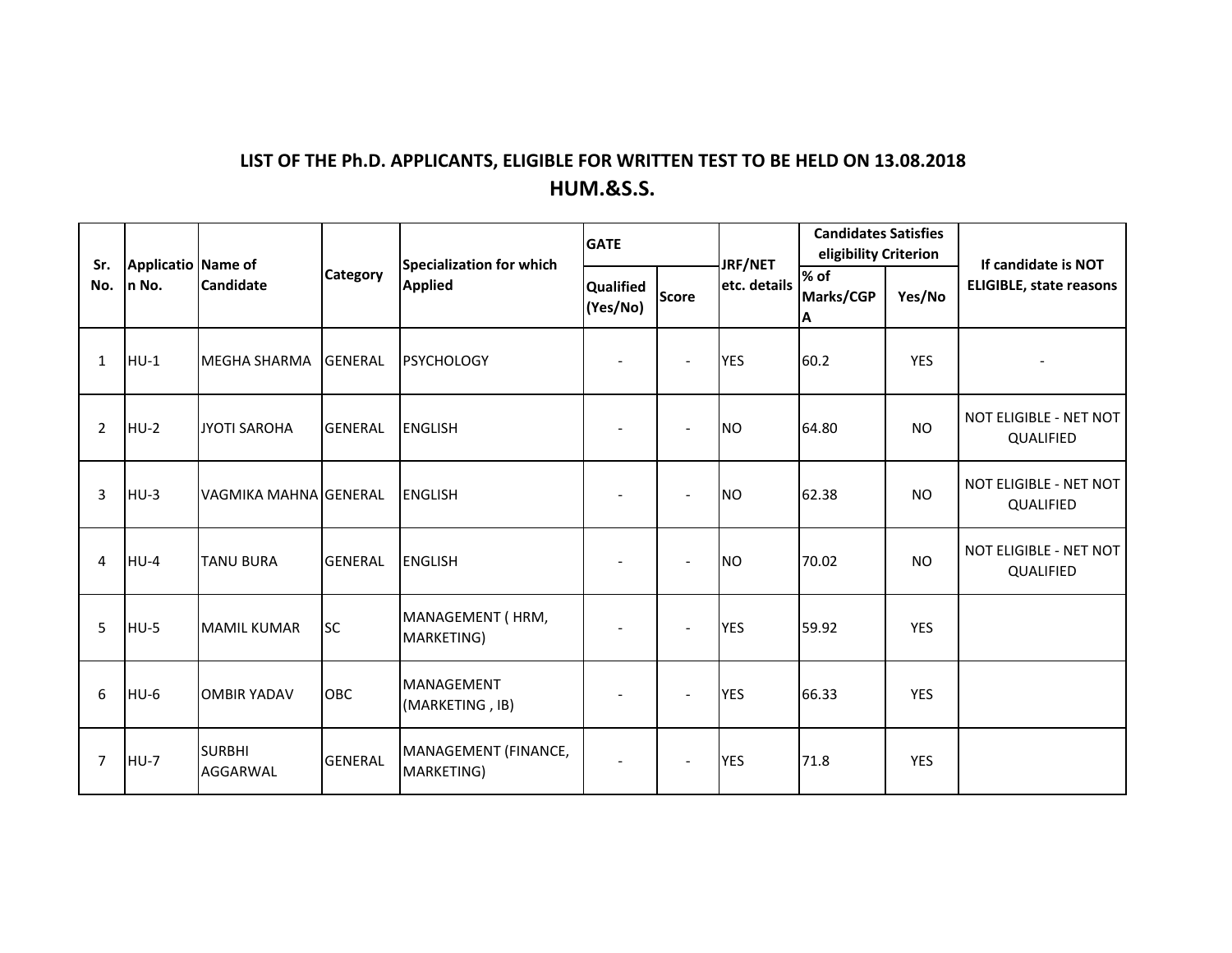## **LIST OF THE Ph.D. APPLICANTS, ELIGIBLE FOR WRITTEN TEST TO BE HELD ON 13.08.2018 HUM.&S.S.**

| Sr.<br>No.     | Applicatio Name of<br>n No. | <b>Candidate</b>          | <b>Category</b> | Specialization for which<br><b>Applied</b> | <b>GATE</b>           |                          | JRF/NET      | <b>Candidates Satisfies</b><br>eligibility Criterion |            | If candidate is NOT                 |
|----------------|-----------------------------|---------------------------|-----------------|--------------------------------------------|-----------------------|--------------------------|--------------|------------------------------------------------------|------------|-------------------------------------|
|                |                             |                           |                 |                                            | Qualified<br>(Yes/No) | <b>Score</b>             | etc. details | % of<br>Marks/CGP<br>Α                               | Yes/No     | <b>ELIGIBLE, state reasons</b>      |
| 1              | $HU-1$                      | <b>MEGHA SHARMA</b>       | <b>GENERAL</b>  | <b>PSYCHOLOGY</b>                          |                       | $\overline{\phantom{a}}$ | <b>YES</b>   | 60.2                                                 | <b>YES</b> |                                     |
| $\overline{2}$ | $HU-2$                      | <b>JYOTI SAROHA</b>       | <b>GENERAL</b>  | <b>ENGLISH</b>                             |                       | $\overline{a}$           | <b>NO</b>    | 64.80                                                | <b>NO</b>  | NOT ELIGIBLE - NET NOT<br>QUALIFIED |
| 3              | $HU-3$                      | VAGMIKA MAHNA GENERAL     |                 | <b>ENGLISH</b>                             |                       | $\overline{\phantom{a}}$ | <b>INO</b>   | 62.38                                                | <b>NO</b>  | NOT ELIGIBLE - NET NOT<br>QUALIFIED |
| 4              | $HU-4$                      | <b>TANU BURA</b>          | <b>GENERAL</b>  | <b>ENGLISH</b>                             |                       | $\overline{a}$           | <b>NO</b>    | 70.02                                                | <b>NO</b>  | NOT ELIGIBLE - NET NOT<br>QUALIFIED |
| 5              | HU-5                        | <b>MAMIL KUMAR</b>        | <b>SC</b>       | MANAGEMENT (HRM,<br>MARKETING)             |                       | $\overline{\phantom{a}}$ | <b>YES</b>   | 59.92                                                | <b>YES</b> |                                     |
| 6              | $HU-6$                      | <b>OMBIR YADAV</b>        | <b>OBC</b>      | MANAGEMENT<br>(MARKETING, IB)              |                       | $\overline{a}$           | <b>YES</b>   | 66.33                                                | <b>YES</b> |                                     |
| 7              | $HU-7$                      | <b>SURBHI</b><br>AGGARWAL | <b>GENERAL</b>  | MANAGEMENT (FINANCE,<br>MARKETING)         | $\sim$                | $\overline{a}$           | <b>YES</b>   | 71.8                                                 | <b>YES</b> |                                     |